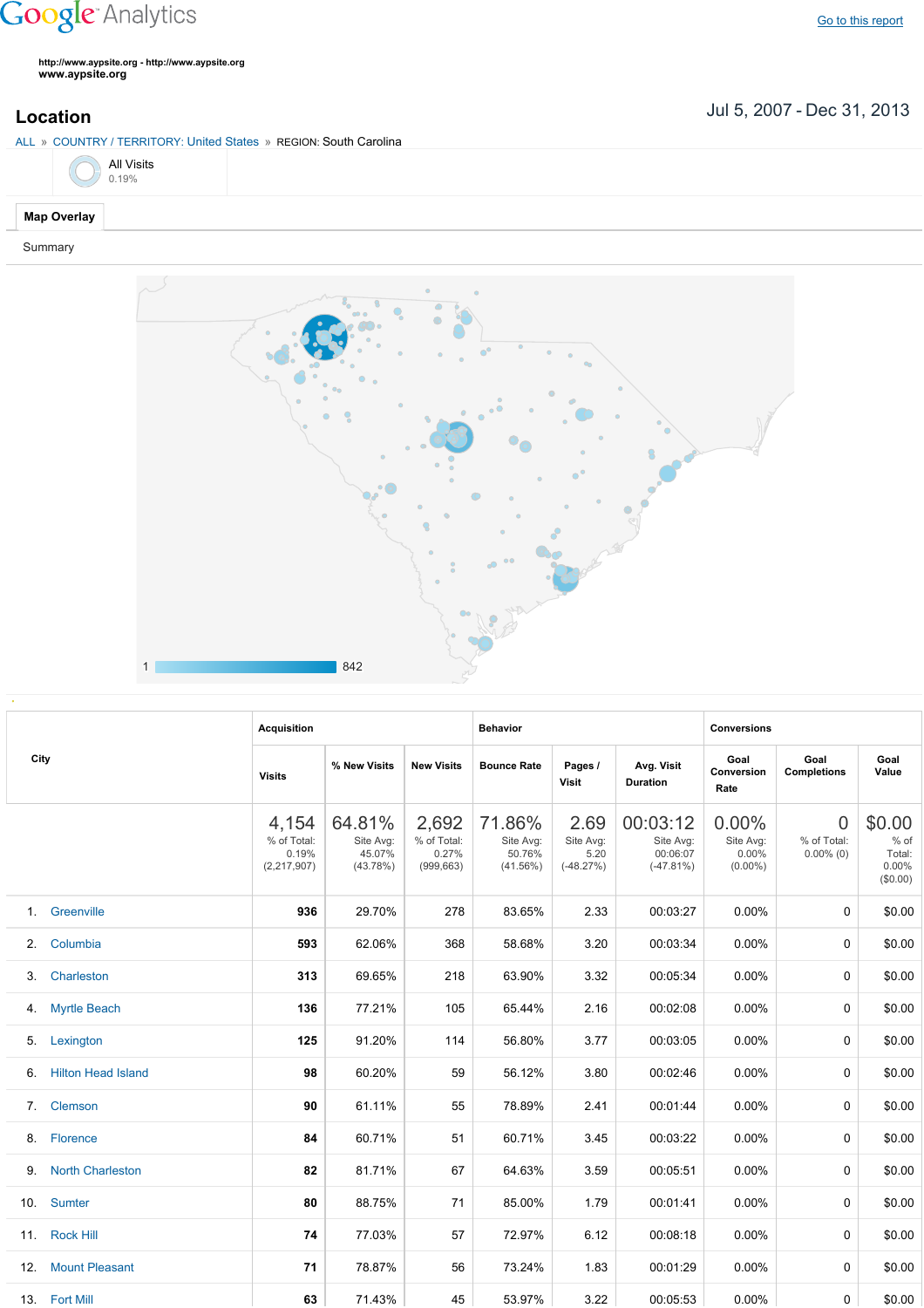## **Google** Analytics

**http://www.aypsite.org http://www.aypsite.org www.aypsite.org**

Jul 5, 2007 Dec 31, 2013 **Location**

ALL » COUNTRY / TERRITORY: United States » REGION: South Carolina



## **Map Overlay**

Summary



|     | City                      | <b>Acquisition</b>                             |                                           |                                             | <b>Behavior</b>                              |                                          |                                                  | <b>Conversions</b>                           |                                               |                                                 |  |
|-----|---------------------------|------------------------------------------------|-------------------------------------------|---------------------------------------------|----------------------------------------------|------------------------------------------|--------------------------------------------------|----------------------------------------------|-----------------------------------------------|-------------------------------------------------|--|
|     |                           | <b>Visits</b>                                  | % New Visits                              | <b>New Visits</b>                           | <b>Bounce Rate</b>                           | Pages /<br><b>Visit</b>                  | Avg. Visit<br><b>Duration</b>                    | Goal<br>Conversion<br>Rate                   | Goal<br><b>Completions</b>                    | Goal<br>Value                                   |  |
|     |                           | 4,154<br>% of Total:<br>0.19%<br>(2, 217, 907) | 64.81%<br>Site Avg:<br>45.07%<br>(43.78%) | 2,692<br>% of Total:<br>0.27%<br>(999, 663) | 71.86%<br>Site Avg:<br>50.76%<br>$(41.56\%)$ | 2.69<br>Site Avg:<br>5.20<br>$(-48.27%)$ | 00:03:12<br>Site Avg:<br>00:06:07<br>$(-47.81%)$ | $0.00\%$<br>Site Avg:<br>0.00%<br>$(0.00\%)$ | $\overline{0}$<br>% of Total:<br>$0.00\%$ (0) | \$0.00<br>$%$ of<br>Total:<br>0.00%<br>(\$0.00) |  |
|     | 1. Greenville             | 936                                            | 29.70%                                    | 278                                         | 83.65%                                       | 2.33                                     | 00:03:27                                         | $0.00\%$                                     | $\Omega$                                      | \$0.00                                          |  |
| 2.  | Columbia                  | 593                                            | 62.06%                                    | 368                                         | 58.68%                                       | 3.20                                     | 00:03:34                                         | $0.00\%$                                     | 0                                             | \$0.00                                          |  |
| 3.  | Charleston                | 313                                            | 69.65%                                    | 218                                         | 63.90%                                       | 3.32                                     | 00:05:34                                         | 0.00%                                        | $\mathbf{0}$                                  | \$0.00                                          |  |
|     | 4. Myrtle Beach           | 136                                            | 77.21%                                    | 105                                         | 65.44%                                       | 2.16                                     | 00:02:08                                         | 0.00%                                        | $\mathbf{0}$                                  | \$0.00                                          |  |
| 5.  | Lexington                 | 125                                            | 91.20%                                    | 114                                         | 56.80%                                       | 3.77                                     | 00:03:05                                         | 0.00%                                        | $\mathbf{0}$                                  | \$0.00                                          |  |
| 6.  | <b>Hilton Head Island</b> | 98                                             | 60.20%                                    | 59                                          | 56.12%                                       | 3.80                                     | 00:02:46                                         | 0.00%                                        | $\mathbf{0}$                                  | \$0.00                                          |  |
|     | 7. Clemson                | 90                                             | 61.11%                                    | 55                                          | 78.89%                                       | 2.41                                     | 00:01:44                                         | $0.00\%$                                     | $\mathbf{0}$                                  | \$0.00                                          |  |
|     | 8. Florence               | 84                                             | 60.71%                                    | 51                                          | 60.71%                                       | 3.45                                     | 00:03:22                                         | $0.00\%$                                     | $\Omega$                                      | \$0.00                                          |  |
|     | 9. North Charleston       | 82                                             | 81.71%                                    | 67                                          | 64.63%                                       | 3.59                                     | 00:05:51                                         | 0.00%                                        | $\Omega$                                      | \$0.00                                          |  |
|     | 10. Sumter                | 80                                             | 88.75%                                    | 71                                          | 85.00%                                       | 1.79                                     | 00:01:41                                         | 0.00%                                        | 0                                             | \$0.00                                          |  |
|     | 11. Rock Hill             | 74                                             | 77.03%                                    | 57                                          | 72.97%                                       | 6.12                                     | 00:08:18                                         | 0.00%                                        | $\Omega$                                      | \$0.00                                          |  |
| 12. | <b>Mount Pleasant</b>     | 71                                             | 78.87%                                    | 56                                          | 73.24%                                       | 1.83                                     | 00:01:29                                         | 0.00%                                        | $\Omega$                                      | \$0.00                                          |  |
|     | 13. Fort Mill             | 63                                             | 71.43%                                    | 45                                          | 53.97%                                       | 3.22                                     | 00:05:53                                         | $0.00\%$                                     | 0                                             | \$0.00                                          |  |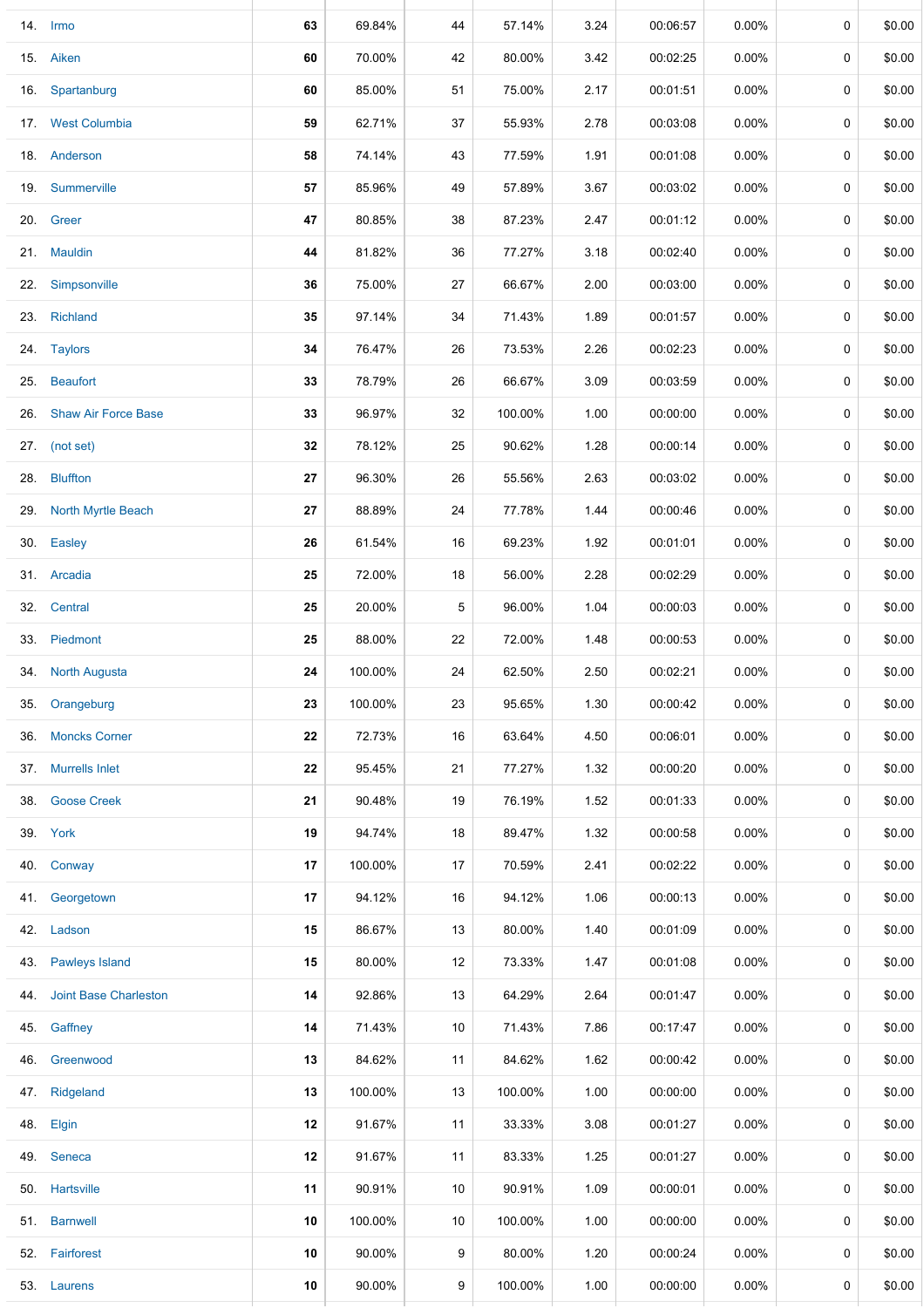|     | 14. Irmo                     | 63 | 69.84%  | 44 | 57.14%  | 3.24 | 00:06:57 | 0.00%    | 0 | \$0.00 |
|-----|------------------------------|----|---------|----|---------|------|----------|----------|---|--------|
|     | 15. Aiken                    | 60 | 70.00%  | 42 | 80.00%  | 3.42 | 00:02:25 | $0.00\%$ | 0 | \$0.00 |
| 16. | Spartanburg                  | 60 | 85.00%  | 51 | 75.00%  | 2.17 | 00:01:51 | $0.00\%$ | 0 | \$0.00 |
|     | 17. West Columbia            | 59 | 62.71%  | 37 | 55.93%  | 2.78 | 00:03:08 | 0.00%    | 0 | \$0.00 |
|     | 18. Anderson                 | 58 | 74.14%  | 43 | 77.59%  | 1.91 | 00:01:08 | $0.00\%$ | 0 | \$0.00 |
| 19. | Summerville                  | 57 | 85.96%  | 49 | 57.89%  | 3.67 | 00:03:02 | $0.00\%$ | 0 | \$0.00 |
|     | 20. Green                    | 47 | 80.85%  | 38 | 87.23%  | 2.47 | 00:01:12 | $0.00\%$ | 0 | \$0.00 |
|     | 21. Mauldin                  | 44 | 81.82%  | 36 | 77.27%  | 3.18 | 00:02:40 | $0.00\%$ | 0 | \$0.00 |
|     | 22. Simpsonville             | 36 | 75.00%  | 27 | 66.67%  | 2.00 | 00:03:00 | $0.00\%$ | 0 | \$0.00 |
|     | 23. Richland                 | 35 | 97.14%  | 34 | 71.43%  | 1.89 | 00:01:57 | 0.00%    | 0 | \$0.00 |
|     | 24. Taylors                  | 34 | 76.47%  | 26 | 73.53%  | 2.26 | 00:02:23 | 0.00%    | 0 | \$0.00 |
|     | 25. Beaufort                 | 33 | 78.79%  | 26 | 66.67%  | 3.09 | 00:03:59 | $0.00\%$ | 0 | \$0.00 |
| 26. | <b>Shaw Air Force Base</b>   | 33 | 96.97%  | 32 | 100.00% | 1.00 | 00:00:00 | $0.00\%$ | 0 | \$0.00 |
|     | 27. (not set)                | 32 | 78.12%  | 25 | 90.62%  | 1.28 | 00:00:14 | $0.00\%$ | 0 | \$0.00 |
|     | 28. Bluffton                 | 27 | 96.30%  | 26 | 55.56%  | 2.63 | 00:03:02 | $0.00\%$ | 0 | \$0.00 |
|     | 29. North Myrtle Beach       | 27 | 88.89%  | 24 | 77.78%  | 1.44 | 00:00:46 | $0.00\%$ | 0 | \$0.00 |
|     | 30. Easley                   | 26 | 61.54%  | 16 | 69.23%  | 1.92 | 00:01:01 | $0.00\%$ | 0 | \$0.00 |
|     | 31. Arcadia                  | 25 | 72.00%  | 18 | 56.00%  | 2.28 | 00:02:29 | $0.00\%$ | 0 | \$0.00 |
|     | 32. Central                  | 25 | 20.00%  | 5  | 96.00%  | 1.04 | 00:00:03 | $0.00\%$ | 0 | \$0.00 |
|     | 33. Piedmont                 | 25 | 88.00%  | 22 | 72.00%  | 1.48 | 00:00:53 | 0.00%    | 0 | \$0.00 |
|     | 34. North Augusta            | 24 | 100.00% | 24 | 62.50%  | 2.50 | 00:02:21 | $0.00\%$ | 0 | \$0.00 |
| 35. | Orangeburg                   | 23 | 100.00% | 23 | 95.65%  | 1.30 | 00:00:42 | $0.00\%$ | 0 | \$0.00 |
| 36. | <b>Moncks Corner</b>         | 22 | 72.73%  | 16 | 63.64%  | 4.50 | 00:06:01 | $0.00\%$ | 0 | \$0.00 |
|     | 37. Murrells Inlet           | 22 | 95.45%  | 21 | 77.27%  | 1.32 | 00:00:20 | $0.00\%$ | 0 | \$0.00 |
| 38. | <b>Goose Creek</b>           | 21 | 90.48%  | 19 | 76.19%  | 1.52 | 00:01:33 | $0.00\%$ | 0 | \$0.00 |
|     | 39. York                     | 19 | 94.74%  | 18 | 89.47%  | 1.32 | 00:00:58 | $0.00\%$ | 0 | \$0.00 |
| 40. | Conway                       | 17 | 100.00% | 17 | 70.59%  | 2.41 | 00:02:22 | $0.00\%$ | 0 | \$0.00 |
|     | 41. Georgetown               | 17 | 94.12%  | 16 | 94.12%  | 1.06 | 00:00:13 | $0.00\%$ | 0 | \$0.00 |
|     | 42. Ladson                   | 15 | 86.67%  | 13 | 80.00%  | 1.40 | 00:01:09 | $0.00\%$ | 0 | \$0.00 |
|     | 43. Pawleys Island           | 15 | 80.00%  | 12 | 73.33%  | 1.47 | 00:01:08 | $0.00\%$ | 0 | \$0.00 |
| 44. | <b>Joint Base Charleston</b> | 14 | 92.86%  | 13 | 64.29%  | 2.64 | 00:01:47 | $0.00\%$ | 0 | \$0.00 |
|     | 45. Gaffney                  | 14 | 71.43%  | 10 | 71.43%  | 7.86 | 00:17:47 | $0.00\%$ | 0 | \$0.00 |
|     | 46. Greenwood                | 13 | 84.62%  | 11 | 84.62%  | 1.62 | 00:00:42 | $0.00\%$ | 0 | \$0.00 |
|     | 47. Ridgeland                | 13 | 100.00% | 13 | 100.00% | 1.00 | 00:00:00 | $0.00\%$ | 0 | \$0.00 |
|     | 48. Elgin                    | 12 | 91.67%  | 11 | 33.33%  | 3.08 | 00:01:27 | $0.00\%$ | 0 | \$0.00 |
|     | 49. Seneca                   | 12 | 91.67%  | 11 | 83.33%  | 1.25 | 00:01:27 | $0.00\%$ | 0 | \$0.00 |
|     | 50. Hartsville               | 11 | 90.91%  | 10 | 90.91%  | 1.09 | 00:00:01 | $0.00\%$ | 0 | \$0.00 |
|     | 51. Barnwell                 | 10 | 100.00% | 10 | 100.00% | 1.00 | 00:00:00 | $0.00\%$ | 0 | \$0.00 |
|     | 52. Fairforest               | 10 | 90.00%  | 9  | 80.00%  | 1.20 | 00:00:24 | $0.00\%$ | 0 | \$0.00 |
|     | 53. Laurens                  | 10 | 90.00%  | 9  | 100.00% | 1.00 | 00:00:00 | $0.00\%$ | 0 | \$0.00 |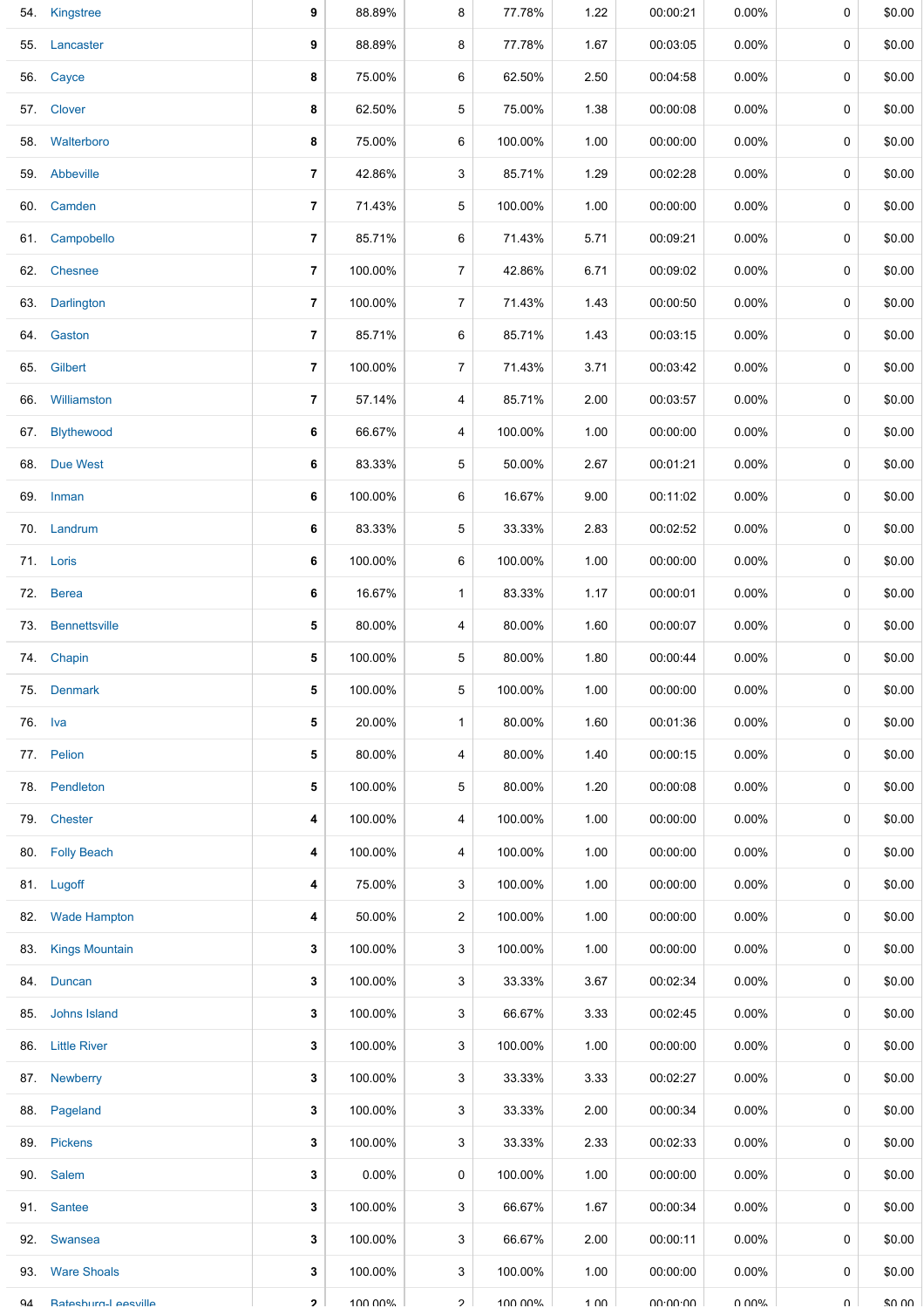|         | 54. Kingstree            | 9              | 88.89%   | 8              | 77.78%  | 1.22 | 00:00:21 | $0.00\%$ | 0           | \$0.00 |
|---------|--------------------------|----------------|----------|----------------|---------|------|----------|----------|-------------|--------|
|         | 55. Lancaster            | 9              | 88.89%   | 8              | 77.78%  | 1.67 | 00:03:05 | $0.00\%$ | 0           | \$0.00 |
|         | 56. Cayce                | 8              | 75.00%   | 6              | 62.50%  | 2.50 | 00:04:58 | $0.00\%$ | 0           | \$0.00 |
|         | 57. Clover               | 8              | 62.50%   | 5              | 75.00%  | 1.38 | 00:00:08 | $0.00\%$ | 0           | \$0.00 |
|         | 58. Walterboro           | 8              | 75.00%   | 6              | 100.00% | 1.00 | 00:00:00 | $0.00\%$ | 0           | \$0.00 |
|         | 59. Abbeville            | 7              | 42.86%   | 3              | 85.71%  | 1.29 | 00:02:28 | $0.00\%$ | 0           | \$0.00 |
|         | 60. Camden               | 7              | 71.43%   | 5              | 100.00% | 1.00 | 00:00:00 | 0.00%    | 0           | \$0.00 |
| 61.     | Campobello               | $\overline{7}$ | 85.71%   | 6              | 71.43%  | 5.71 | 00:09:21 | $0.00\%$ | 0           | \$0.00 |
|         | 62. Chesnee              | 7              | 100.00%  | $\overline{7}$ | 42.86%  | 6.71 | 00:09:02 | $0.00\%$ | 0           | \$0.00 |
| 63.     | Darlington               | 7              | 100.00%  | $\overline{7}$ | 71.43%  | 1.43 | 00:00:50 | $0.00\%$ | 0           | \$0.00 |
|         | 64. Gaston               | 7              | 85.71%   | 6              | 85.71%  | 1.43 | 00:03:15 | $0.00\%$ | 0           | \$0.00 |
| 65.     | Gilbert                  | $\overline{7}$ | 100.00%  | $\overline{7}$ | 71.43%  | 3.71 | 00:03:42 | $0.00\%$ | 0           | \$0.00 |
| 66.     | Williamston              | 7              | 57.14%   | 4              | 85.71%  | 2.00 | 00:03:57 | $0.00\%$ | 0           | \$0.00 |
|         | 67. Blythewood           | 6              | 66.67%   | 4              | 100.00% | 1.00 | 00:00:00 | $0.00\%$ | 0           | \$0.00 |
|         | 68. Due West             | 6              | 83.33%   | 5              | 50.00%  | 2.67 | 00:01:21 | $0.00\%$ | 0           | \$0.00 |
|         | 69. Inman                | 6              | 100.00%  | 6              | 16.67%  | 9.00 | 00:11:02 | $0.00\%$ | 0           | \$0.00 |
|         | 70. Landrum              | 6              | 83.33%   | 5              | 33.33%  | 2.83 | 00:02:52 | $0.00\%$ | 0           | \$0.00 |
|         | 71. Loris                | 6              | 100.00%  | 6              | 100.00% | 1.00 | 00:00:00 | $0.00\%$ | $\mathbf 0$ | \$0.00 |
|         | 72. Berea                | 6              | 16.67%   | $\mathbf{1}$   | 83.33%  | 1.17 | 00:00:01 | $0.00\%$ | 0           | \$0.00 |
|         | 73. Bennettsville        | 5              | 80.00%   | 4              | 80.00%  | 1.60 | 00:00:07 | $0.00\%$ | 0           | \$0.00 |
|         | 74. Chapin               | 5              | 100.00%  | 5              | 80.00%  | 1.80 | 00:00:44 | $0.00\%$ | 0           | \$0.00 |
|         | 75. Denmark              | 5              | 100.00%  | 5              | 100.00% | 1.00 | 00:00:00 | $0.00\%$ | 0           | \$0.00 |
| 76. Iva |                          | 5              | 20.00%   | $\mathbf{1}$   | 80.00%  | 1.60 | 00:01:36 | $0.00\%$ | 0           | \$0.00 |
|         | 77. Pelion               | 5              | 80.00%   | 4              | 80.00%  | 1.40 | 00:00:15 | $0.00\%$ | 0           | \$0.00 |
| 78.     | Pendleton                | 5              | 100.00%  | 5              | 80.00%  | 1.20 | 00:00:08 | $0.00\%$ | 0           | \$0.00 |
|         | 79. Chester              | 4              | 100.00%  | 4              | 100.00% | 1.00 | 00:00:00 | $0.00\%$ | 0           | \$0.00 |
|         | 80. Folly Beach          | 4              | 100.00%  | 4              | 100.00% | 1.00 | 00:00:00 | $0.00\%$ | 0           | \$0.00 |
|         | 81. Lugoff               | 4              | 75.00%   | 3              | 100.00% | 1.00 | 00:00:00 | $0.00\%$ | 0           | \$0.00 |
| 82.     | <b>Wade Hampton</b>      | 4              | 50.00%   | $\overline{2}$ | 100.00% | 1.00 | 00:00:00 | $0.00\%$ | 0           | \$0.00 |
| 83.     | <b>Kings Mountain</b>    | 3              | 100.00%  | 3              | 100.00% | 1.00 | 00:00:00 | $0.00\%$ | 0           | \$0.00 |
|         | 84. Duncan               | 3              | 100.00%  | 3              | 33.33%  | 3.67 | 00:02:34 | $0.00\%$ | 0           | \$0.00 |
| 85.     | Johns Island             | 3              | 100.00%  | 3              | 66.67%  | 3.33 | 00:02:45 | $0.00\%$ | 0           | \$0.00 |
|         | 86. Little River         | 3              | 100.00%  | 3              | 100.00% | 1.00 | 00:00:00 | $0.00\%$ | 0           | \$0.00 |
| 87.     | Newberry                 | 3              | 100.00%  | 3              | 33.33%  | 3.33 | 00:02:27 | $0.00\%$ | 0           | \$0.00 |
|         | 88. Pageland             | 3              | 100.00%  | 3              | 33.33%  | 2.00 | 00:00:34 | $0.00\%$ | 0           | \$0.00 |
|         | 89. Pickens              | 3              | 100.00%  | 3              | 33.33%  | 2.33 | 00:02:33 | $0.00\%$ | 0           | \$0.00 |
|         | 90. Salem                | 3              | $0.00\%$ | 0              | 100.00% | 1.00 | 00:00:00 | $0.00\%$ | 0           | \$0.00 |
| 91.     | Santee                   | 3              | 100.00%  | 3              | 66.67%  | 1.67 | 00:00:34 | $0.00\%$ | 0           | \$0.00 |
|         | 92. Swansea              | 3              | 100.00%  | 3              | 66.67%  | 2.00 | 00:00:11 | $0.00\%$ | 0           | \$0.00 |
| 93.     | <b>Ware Shoals</b>       | 3              | 100.00%  | 3              | 100.00% | 1.00 | 00:00:00 | $0.00\%$ | 0           | \$0.00 |
| QΔ      | <b>Rateshum-Leeville</b> | $\mathbf{p}$   | 100.00%  | $\mathcal{P}$  | 100 00% | 1 በበ | 0.0000   | ለ በሀል    | U           | \$0.00 |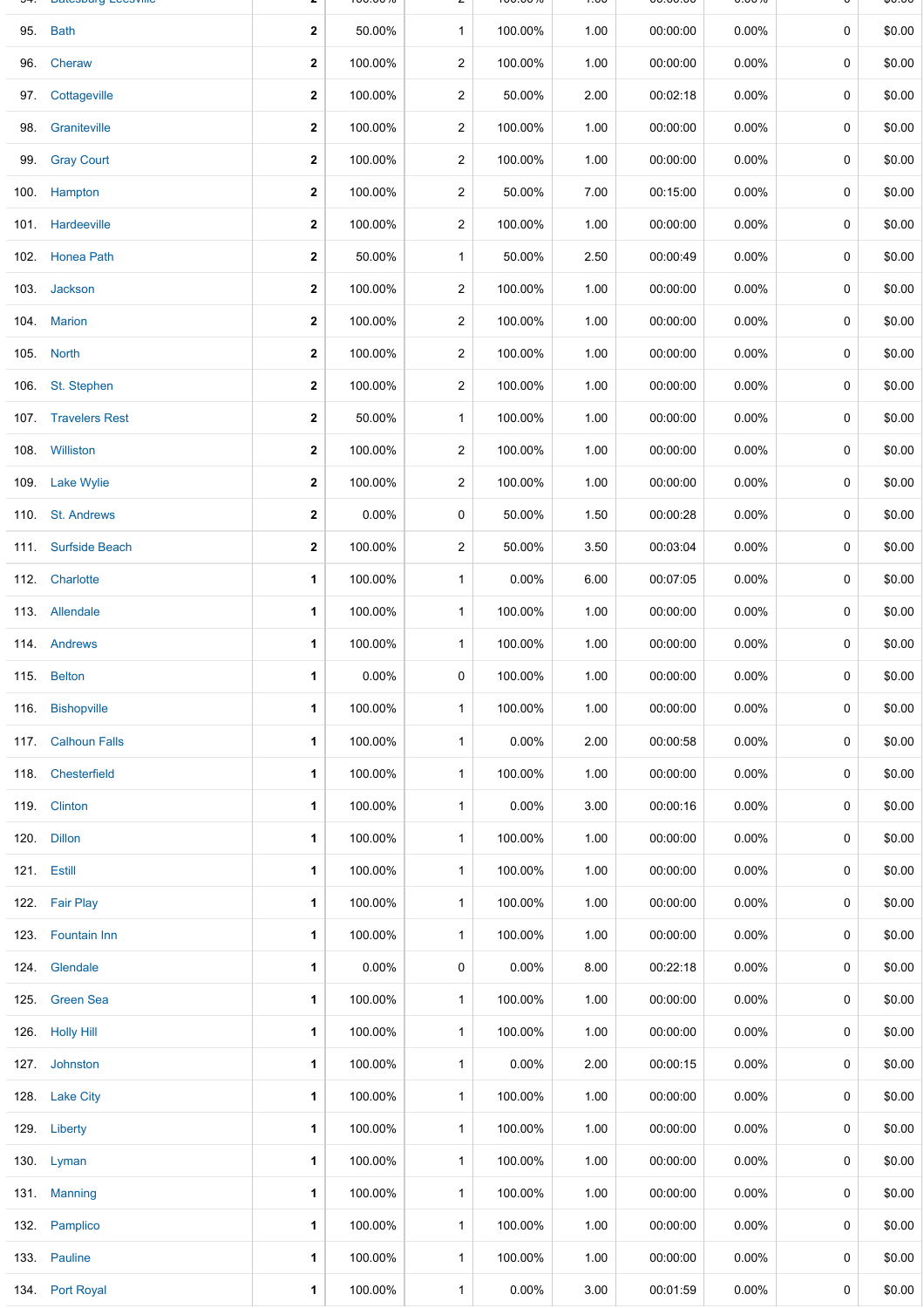|      | Datuburg-Luusvillu  |              | 100.0070 |                | 100.0070 | $\overline{\phantom{a}}$ | 00.00.00 | <b>0.0070</b> |             | ψυ.υυ  |
|------|---------------------|--------------|----------|----------------|----------|--------------------------|----------|---------------|-------------|--------|
|      | 95. Bath            | $\mathbf 2$  | 50.00%   | $\mathbf{1}$   | 100.00%  | 1.00                     | 00:00:00 | 0.00%         | 0           | \$0.00 |
| 96.  | Cheraw              | $\mathbf{2}$ | 100.00%  | $\overline{a}$ | 100.00%  | 1.00                     | 00:00:00 | 0.00%         | $\mathbf 0$ | \$0.00 |
| 97.  | Cottageville        | $\mathbf 2$  | 100.00%  | 2              | 50.00%   | 2.00                     | 00:02:18 | 0.00%         | 0           | \$0.00 |
| 98.  | Graniteville        | $\mathbf{2}$ | 100.00%  | $\overline{2}$ | 100.00%  | 1.00                     | 00:00:00 | $0.00\%$      | 0           | \$0.00 |
|      | 99. Gray Court      | $\mathbf{2}$ | 100.00%  | $\overline{2}$ | 100.00%  | 1.00                     | 00:00:00 | $0.00\%$      | 0           | \$0.00 |
|      | 100. Hampton        | $\mathbf{2}$ | 100.00%  | $\overline{2}$ | 50.00%   | 7.00                     | 00:15:00 | $0.00\%$      | 0           | \$0.00 |
|      | 101. Hardeeville    | $\mathbf 2$  | 100.00%  | 2              | 100.00%  | 1.00                     | 00:00:00 | $0.00\%$      | 0           | \$0.00 |
|      | 102. Honea Path     | $\mathbf 2$  | 50.00%   | $\mathbf{1}$   | 50.00%   | 2.50                     | 00:00:49 | $0.00\%$      | 0           | \$0.00 |
|      | 103. Jackson        | $\mathbf{2}$ | 100.00%  | $\overline{2}$ | 100.00%  | 1.00                     | 00:00:00 | $0.00\%$      | 0           | \$0.00 |
|      | 104. Marion         | $\mathbf 2$  | 100.00%  | 2              | 100.00%  | 1.00                     | 00:00:00 | $0.00\%$      | $\mathbf 0$ | \$0.00 |
|      | 105. North          | $\mathbf 2$  | 100.00%  | 2              | 100.00%  | 1.00                     | 00:00:00 | 0.00%         | 0           | \$0.00 |
|      | 106. St. Stephen    | 2            | 100.00%  | 2              | 100.00%  | 1.00                     | 00:00:00 | $0.00\%$      | 0           | \$0.00 |
|      | 107. Travelers Rest | $\mathbf{2}$ | 50.00%   | $\mathbf{1}$   | 100.00%  | 1.00                     | 00:00:00 | $0.00\%$      | 0           | \$0.00 |
|      | 108. Williston      | 2            | 100.00%  | 2              | 100.00%  | 1.00                     | 00:00:00 | $0.00\%$      | 0           | \$0.00 |
|      | 109. Lake Wylie     | $\mathbf{2}$ | 100.00%  | 2              | 100.00%  | 1.00                     | 00:00:00 | $0.00\%$      | 0           | \$0.00 |
|      | 110. St. Andrews    | $\mathbf 2$  | 0.00%    | 0              | 50.00%   | 1.50                     | 00:00:28 | $0.00\%$      | 0           | \$0.00 |
|      | 111. Surfside Beach | $\mathbf{2}$ | 100.00%  | $\overline{a}$ | 50.00%   | 3.50                     | 00:03:04 | 0.00%         | 0           | \$0.00 |
|      | 112. Charlotte      | 1            | 100.00%  | $\mathbf{1}$   | 0.00%    | 6.00                     | 00:07:05 | $0.00\%$      | 0           | \$0.00 |
|      | 113. Allendale      | 1            | 100.00%  | $\mathbf{1}$   | 100.00%  | 1.00                     | 00:00:00 | $0.00\%$      | 0           | \$0.00 |
|      | 114. Andrews        | 1            | 100.00%  | $\mathbf{1}$   | 100.00%  | 1.00                     | 00:00:00 | $0.00\%$      | 0           | \$0.00 |
|      | 115. Belton         | 1            | 0.00%    | 0              | 100.00%  | 1.00                     | 00:00:00 | 0.00%         | 0           | \$0.00 |
|      | 116. Bishopville    | 1            | 100.00%  | $\mathbf{1}$   | 100.00%  | 1.00                     | 00:00:00 | $0.00\%$      | 0           | \$0.00 |
|      | 117. Calhoun Falls  | 1            | 100.00%  | $\mathbf{1}$   | 0.00%    | 2.00                     | 00:00:58 | 0.00%         | 0           | \$0.00 |
|      | 118. Chesterfield   | 1            | 100.00%  | $\mathbf{1}$   | 100.00%  | 1.00                     | 00:00:00 | $0.00\%$      | 0           | \$0.00 |
|      | 119. Clinton        | 1            | 100.00%  | $\mathbf{1}$   | $0.00\%$ | 3.00                     | 00:00:16 | $0.00\%$      | 0           | \$0.00 |
|      | 120. Dillon         | 1            | 100.00%  | $\mathbf{1}$   | 100.00%  | 1.00                     | 00:00:00 | $0.00\%$      | 0           | \$0.00 |
|      | 121. Estill         | 1            | 100.00%  | $\mathbf{1}$   | 100.00%  | 1.00                     | 00:00:00 | $0.00\%$      | 0           | \$0.00 |
|      | 122. Fair Play      | 1            | 100.00%  | $\mathbf{1}$   | 100.00%  | 1.00                     | 00:00:00 | $0.00\%$      | 0           | \$0.00 |
|      | 123. Fountain Inn   | 1            | 100.00%  | $\mathbf{1}$   | 100.00%  | 1.00                     | 00:00:00 | $0.00\%$      | 0           | \$0.00 |
|      | 124. Glendale       | 1            | $0.00\%$ | 0              | $0.00\%$ | 8.00                     | 00:22:18 | $0.00\%$      | 0           | \$0.00 |
|      | 125. Green Sea      | 1            | 100.00%  | $\mathbf{1}$   | 100.00%  | 1.00                     | 00:00:00 | $0.00\%$      | 0           | \$0.00 |
|      | 126. Holly Hill     | 1            | 100.00%  | $\mathbf{1}$   | 100.00%  | 1.00                     | 00:00:00 | $0.00\%$      | 0           | \$0.00 |
|      | 127. Johnston       | 1            | 100.00%  | $\mathbf{1}$   | $0.00\%$ | 2.00                     | 00:00:15 | $0.00\%$      | 0           | \$0.00 |
| 128. | <b>Lake City</b>    | 1            | 100.00%  | $\mathbf{1}$   | 100.00%  | 1.00                     | 00:00:00 | $0.00\%$      | 0           | \$0.00 |
|      | 129. Liberty        | 1            | 100.00%  | $\mathbf{1}$   | 100.00%  | 1.00                     | 00:00:00 | $0.00\%$      | 0           | \$0.00 |
|      | 130. Lyman          | 1            | 100.00%  | $\mathbf{1}$   | 100.00%  | 1.00                     | 00:00:00 | $0.00\%$      | 0           | \$0.00 |
|      | 131. Manning        | 1            | 100.00%  | $\mathbf{1}$   | 100.00%  | 1.00                     | 00:00:00 | $0.00\%$      | 0           | \$0.00 |
|      | 132. Pamplico       | 1            | 100.00%  | $\mathbf{1}$   | 100.00%  | 1.00                     | 00:00:00 | $0.00\%$      | 0           | \$0.00 |
|      | 133. Pauline        | 1            | 100.00%  | $\mathbf{1}$   | 100.00%  | 1.00                     | 00:00:00 | $0.00\%$      | 0           | \$0.00 |
|      | 134. Port Royal     | 1            | 100.00%  | $\mathbf{1}$   | $0.00\%$ | 3.00                     | 00:01:59 | 0.00%         | 0           | \$0.00 |

**2** 100.00 / 0

 $2^{100.00}$ 

 $1.00$ 

0.00.00 0.00 /0

Ψ 0.0  $\mathbf{\mathsf{v}}$ 

<del>u -</del> Daluovai y-Luusviilu